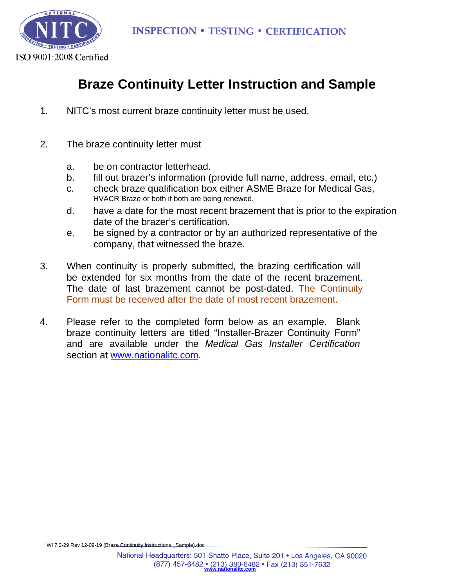

## **Braze Continuity Letter Instruction and Sample**

- 1. NITC's most current braze continuity letter must be used.
- 2. The braze continuity letter must
	- a. be on contractor letterhead.
	- b. fill out brazer's information (provide full name, address, email, etc.)
	- c. check braze qualification box either ASME Braze for Medical Gas, HVACR Braze or both if both are being renewed.
	- d. have a date for the most recent brazement that is prior to the expiration date of the brazer's certification.
	- e. be signed by a contractor or by an authorized representative of the company, that witnessed the braze.
- 3. When continuity is properly submitted, the brazing certification will be extended for six months from the date of the recent brazement. The date of last brazement cannot be post-dated. The Continuity Form must be received after the date of most recent brazement.
- 4. Please refer to the completed form below as an example. Blank braze continuity letters are titled "Installer-Brazer Continuity Form" and are available under the *Medical Gas Installer Certification* section at www.nationalitc.com.

WI 7.2-29 Rev 12-09-19 (Braze Continuity Instructions Sample).doc